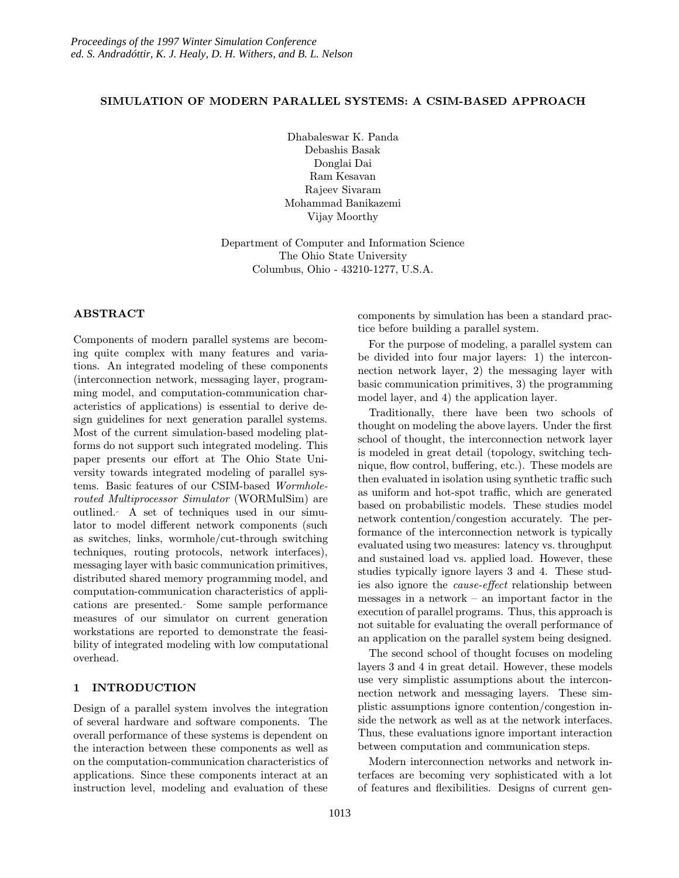# SIMULATION OF MODERN PARALLEL SYSTEMS: A CSIM-BASED APPROACH

Dhabaleswar K. Panda Debashis Basak Donglai Dai Ram Kesavan Rajeev Sivaram Mohammad Banikazemi Vijay Moorthy

Department of Computer and Information Science The Ohio State University Columbus, Ohio - 43210-1277, U.S.A.

# ABSTRACT

Components of modern parallel systems are becoming quite complex with many features and variations. An integrated modeling of these components (interconnection network, messaging layer, programming model, and computation-communication characteristics of applications) is essential to derive design guidelines for next generation parallel systems. Most of the current simulation-based modeling platforms do not support such integrated modeling. This paper presents our effort at The Ohio State University towards integrated modeling of parallel systems. Basic features of our CSIM-based Wormholerouted Multiprocessor Simulator (WORMulSim) are outlined. A set of techniques used in our simulator to model different network components (such as switches, links, wormhole/cut-through switching techniques, routing protocols, network interfaces), messaging layer with basic communication primitives, distributed shared memory programming model, and computation-communication characteristics of applications are presented. Some sample performance measures of our simulator on current generation workstations are reported to demonstrate the feasibility of integrated modeling with low computational overhead.

# 1 INTRODUCTION

Design of a parallel system involves the integration of several hardware and software components. The overall performance of these systems is dependent on the interaction between these components as well as on the computation-communication characteristics of applications. Since these components interact at an instruction level, modeling and evaluation of these

components by simulation has been a standard practice before building a parallel system.

For the purpose of modeling, a parallel system can be divided into four major layers: 1) the interconnection network layer, 2) the messaging layer with basic communication primitives, 3) the programming model layer, and 4) the application layer.

Traditionally, there have been two schools of thought on modeling the above layers. Under the first school of thought, the interconnection network layer is modeled in great detail (topology, switching technique, flow control, buffering, etc.). These models are then evaluated in isolation using synthetic traffic such as uniform and hot-spot traffic, which are generated based on probabilistic models. These studies model network contention/congestion accurately. The performance of the interconnection network is typically evaluated using two measures: latency vs. throughput and sustained load vs. applied load. However, these studies typically ignore layers 3 and 4. These studies also ignore the cause-effect relationship between messages in a network – an important factor in the execution of parallel programs. Thus, this approach is not suitable for evaluating the overall performance of an application on the parallel system being designed.

The second school of thought focuses on modeling layers 3 and 4 in great detail. However, these models use very simplistic assumptions about the interconnection network and messaging layers. These simplistic assumptions ignore contention/congestion inside the network as well as at the network interfaces. Thus, these evaluations ignore important interaction between computation and communication steps.

Modern interconnection networks and network interfaces are becoming very sophisticated with a lot of features and flexibilities. Designs of current gen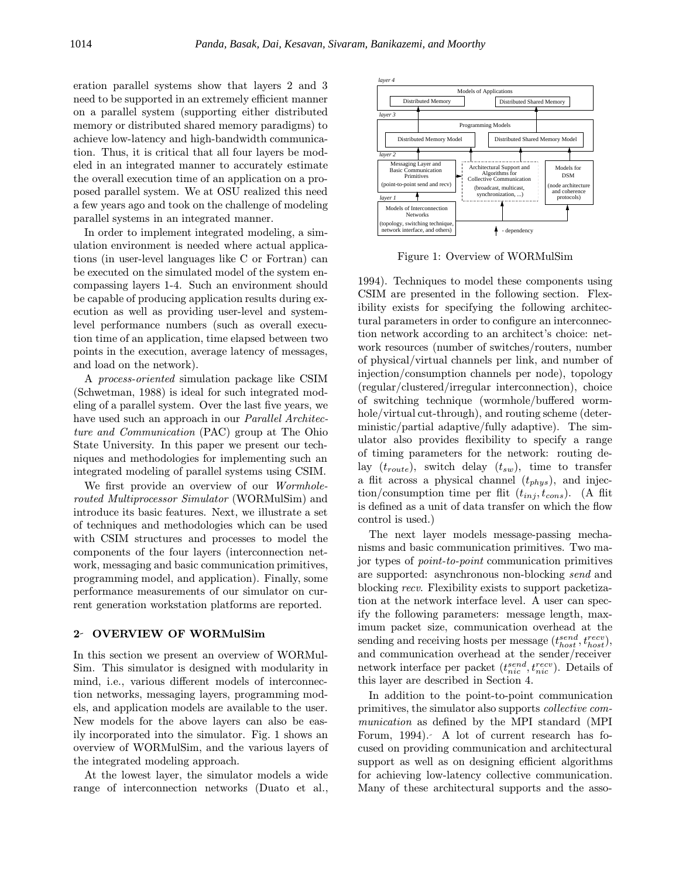eration parallel systems show that layers 2 and 3 need to be supported in an extremely efficient manner on a parallel system (supporting either distributed memory or distributed shared memory paradigms) to achieve low-latency and high-bandwidth communication. Thus, it is critical that all four layers be modeled in an integrated manner to accurately estimate the overall execution time of an application on a proposed parallel system. We at OSU realized this need a few years ago and took on the challenge of modeling parallel systems in an integrated manner.

In order to implement integrated modeling, a simulation environment is needed where actual applications (in user-level languages like C or Fortran) can be executed on the simulated model of the system encompassing layers 1-4. Such an environment should be capable of producing application results during execution as well as providing user-level and systemlevel performance numbers (such as overall execution time of an application, time elapsed between two points in the execution, average latency of messages, and load on the network).

A process-oriented simulation package like CSIM (Schwetman, 1988) is ideal for such integrated modeling of a parallel system. Over the last five years, we have used such an approach in our *Parallel Architec*ture and Communication (PAC) group at The Ohio State University. In this paper we present our techniques and methodologies for implementing such an integrated modeling of parallel systems using CSIM.

We first provide an overview of our *Wormhole*routed Multiprocessor Simulator (WORMulSim) and introduce its basic features. Next, we illustrate a set of techniques and methodologies which can be used with CSIM structures and processes to model the components of the four layers (interconnection network, messaging and basic communication primitives, programming model, and application). Finally, some performance measurements of our simulator on current generation workstation platforms are reported.

# 2- OVERVIEW OF WORMulSim

In this section we present an overview of WORMul-Sim. This simulator is designed with modularity in mind, i.e., various different models of interconnection networks, messaging layers, programming models, and application models are available to the user. New models for the above layers can also be easily incorporated into the simulator. Fig. 1 shows an overview of WORMulSim, and the various layers of the integrated modeling approach.

At the lowest layer, the simulator models a wide range of interconnection networks (Duato et al.,



Figure 1: Overview of WORMulSim

1994). Techniques to model these components using CSIM are presented in the following section. Flexibility exists for specifying the following architectural parameters in order to configure an interconnection network according to an architect's choice: network resources (number of switches/routers, number of physical/virtual channels per link, and number of injection/consumption channels per node), topology (regular/clustered/irregular interconnection), choice of switching technique (wormhole/buffered wormhole/virtual cut-through), and routing scheme (deterministic/partial adaptive/fully adaptive). The simulator also provides flexibility to specify a range of timing parameters for the network: routing delay  $(t_{route})$ , switch delay  $(t_{sw})$ , time to transfer a flit across a physical channel  $(t_{phys})$ , and injection/consumption time per flit  $(t_{inj}, t_{cons})$ . (A flit is defined as a unit of data transfer on which the flow control is used.)

The next layer models message-passing mechanisms and basic communication primitives. Two major types of point-to-point communication primitives are supported: asynchronous non-blocking send and blocking recv. Flexibility exists to support packetization at the network interface level. A user can specify the following parameters: message length, maximum packet size, communication overhead at the sending and receiving hosts per message  $(t_{host}^{send}, t_{host}^{recv})$ , and communication overhead at the sender/receiver network interface per packet  $(t_{nic}^{send}, t_{nic}^{recv})$ . Details of this layer are described in Section 4.

In addition to the point-to-point communication primitives, the simulator also supports collective communication as defined by the MPI standard (MPI Forum, 1994). A lot of current research has focused on providing communication and architectural support as well as on designing efficient algorithms for achieving low-latency collective communication. Many of these architectural supports and the asso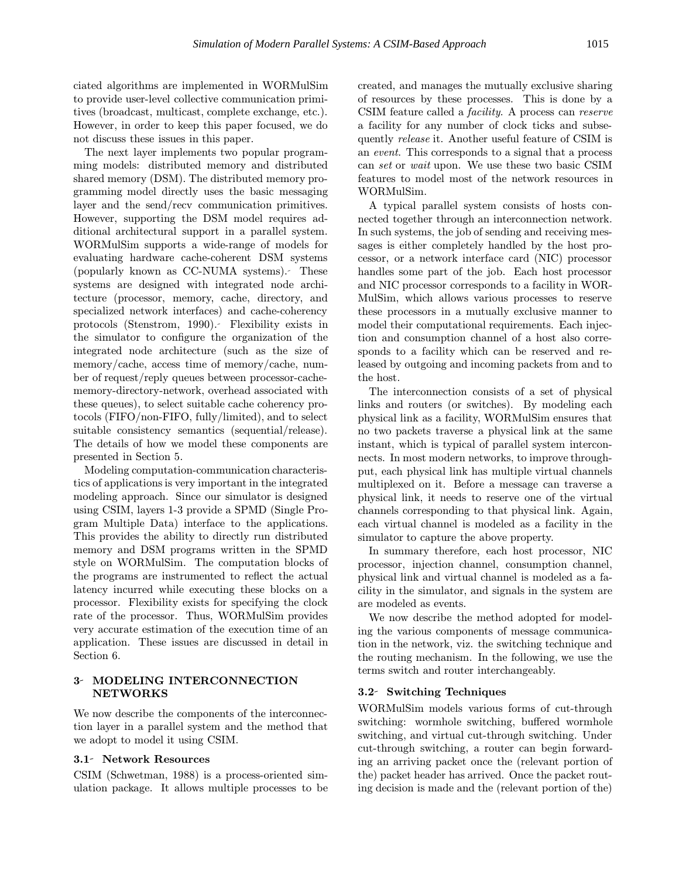ciated algorithms are implemented in WORMulSim to provide user-level collective communication primitives (broadcast, multicast, complete exchange, etc.). However, in order to keep this paper focused, we do not discuss these issues in this paper.

The next layer implements two popular programming models: distributed memory and distributed shared memory (DSM). The distributed memory programming model directly uses the basic messaging layer and the send/recv communication primitives. However, supporting the DSM model requires additional architectural support in a parallel system. WORMulSim supports a wide-range of models for evaluating hardware cache-coherent DSM systems (popularly known as CC-NUMA systems). These systems are designed with integrated node architecture (processor, memory, cache, directory, and specialized network interfaces) and cache-coherency protocols (Stenstrom, 1990). Flexibility exists in the simulator to configure the organization of the integrated node architecture (such as the size of memory/cache, access time of memory/cache, number of request/reply queues between processor-cachememory-directory-network, overhead associated with these queues), to select suitable cache coherency protocols (FIFO/non-FIFO, fully/limited), and to select suitable consistency semantics (sequential/release). The details of how we model these components are presented in Section 5.

Modeling computation-communication characteristics of applications is very important in the integrated modeling approach. Since our simulator is designed using CSIM, layers 1-3 provide a SPMD (Single Program Multiple Data) interface to the applications. This provides the ability to directly run distributed memory and DSM programs written in the SPMD style on WORMulSim. The computation blocks of the programs are instrumented to reflect the actual latency incurred while executing these blocks on a processor. Flexibility exists for specifying the clock rate of the processor. Thus, WORMulSim provides very accurate estimation of the execution time of an application. These issues are discussed in detail in Section 6.

# 3- MODELING INTERCONNECTION **NETWORKS**

We now describe the components of the interconnection layer in a parallel system and the method that we adopt to model it using CSIM.

#### 3.1 Network Resources

CSIM (Schwetman, 1988) is a process-oriented simulation package. It allows multiple processes to be created, and manages the mutually exclusive sharing of resources by these processes. This is done by a CSIM feature called a facility. A process can reserve a facility for any number of clock ticks and subsequently release it. Another useful feature of CSIM is an event. This corresponds to a signal that a process can set or wait upon. We use these two basic CSIM features to model most of the network resources in WORMulSim.

A typical parallel system consists of hosts connected together through an interconnection network. In such systems, the job of sending and receiving messages is either completely handled by the host processor, or a network interface card (NIC) processor handles some part of the job. Each host processor and NIC processor corresponds to a facility in WOR-MulSim, which allows various processes to reserve these processors in a mutually exclusive manner to model their computational requirements. Each injection and consumption channel of a host also corresponds to a facility which can be reserved and released by outgoing and incoming packets from and to the host.

The interconnection consists of a set of physical links and routers (or switches). By modeling each physical link as a facility, WORMulSim ensures that no two packets traverse a physical link at the same instant, which is typical of parallel system interconnects. In most modern networks, to improve throughput, each physical link has multiple virtual channels multiplexed on it. Before a message can traverse a physical link, it needs to reserve one of the virtual channels corresponding to that physical link. Again, each virtual channel is modeled as a facility in the simulator to capture the above property.

In summary therefore, each host processor, NIC processor, injection channel, consumption channel, physical link and virtual channel is modeled as a facility in the simulator, and signals in the system are are modeled as events.

We now describe the method adopted for modeling the various components of message communication in the network, viz. the switching technique and the routing mechanism. In the following, we use the terms switch and router interchangeably.

# 3.2 Switching Techniques

WORMulSim models various forms of cut-through switching: wormhole switching, buffered wormhole switching, and virtual cut-through switching. Under cut-through switching, a router can begin forwarding an arriving packet once the (relevant portion of the) packet header has arrived. Once the packet routing decision is made and the (relevant portion of the)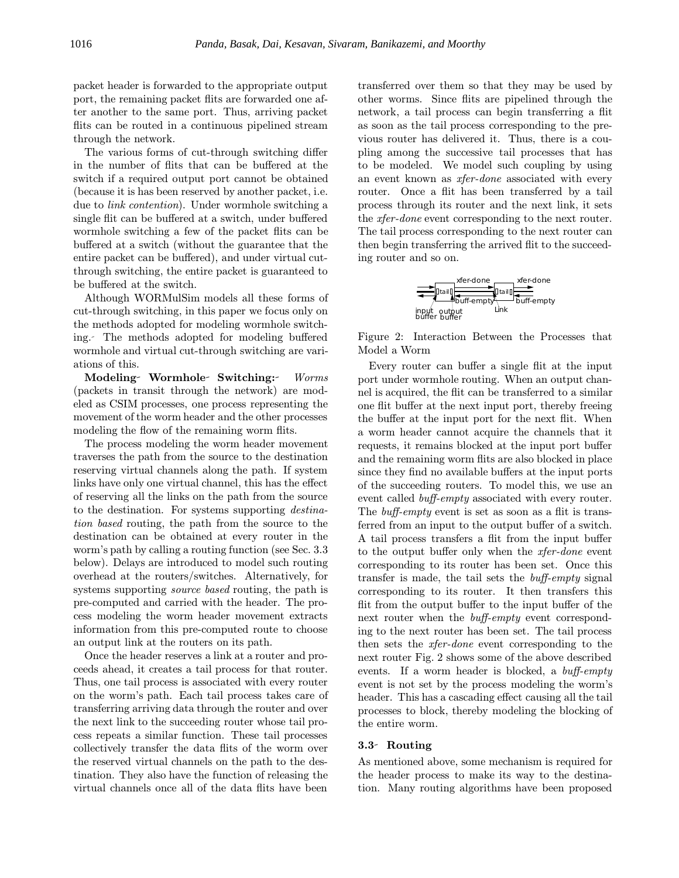packet header is forwarded to the appropriate output port, the remaining packet flits are forwarded one after another to the same port. Thus, arriving packet flits can be routed in a continuous pipelined stream through the network.

The various forms of cut-through switching differ in the number of flits that can be buffered at the switch if a required output port cannot be obtained (because it is has been reserved by another packet, i.e. due to link contention). Under wormhole switching a single flit can be buffered at a switch, under buffered wormhole switching a few of the packet flits can be buffered at a switch (without the guarantee that the entire packet can be buffered), and under virtual cutthrough switching, the entire packet is guaranteed to be buffered at the switch.

Although WORMulSim models all these forms of cut-through switching, in this paper we focus only on the methods adopted for modeling wormhole switching. The methods adopted for modeling buffered wormhole and virtual cut-through switching are variations of this.

Modeling Wormhole Switching: Worms (packets in transit through the network) are modeled as CSIM processes, one process representing the movement of the worm header and the other processes modeling the flow of the remaining worm flits.

The process modeling the worm header movement traverses the path from the source to the destination reserving virtual channels along the path. If system links have only one virtual channel, this has the effect of reserving all the links on the path from the source to the destination. For systems supporting destination based routing, the path from the source to the destination can be obtained at every router in the worm's path by calling a routing function (see Sec. 3.3 below). Delays are introduced to model such routing overhead at the routers/switches. Alternatively, for systems supporting source based routing, the path is pre-computed and carried with the header. The process modeling the worm header movement extracts information from this pre-computed route to choose an output link at the routers on its path.

Once the header reserves a link at a router and proceeds ahead, it creates a tail process for that router. Thus, one tail process is associated with every router on the worm's path. Each tail process takes care of transferring arriving data through the router and over the next link to the succeeding router whose tail process repeats a similar function. These tail processes collectively transfer the data flits of the worm over the reserved virtual channels on the path to the destination. They also have the function of releasing the virtual channels once all of the data flits have been

transferred over them so that they may be used by other worms. Since flits are pipelined through the network, a tail process can begin transferring a flit as soon as the tail process corresponding to the previous router has delivered it. Thus, there is a coupling among the successive tail processes that has to be modeled. We model such coupling by using an event known as xfer-done associated with every router. Once a flit has been transferred by a tail process through its router and the next link, it sets the xfer-done event corresponding to the next router. The tail process corresponding to the next router can then begin transferring the arrived flit to the succeeding router and so on.



Figure 2: Interaction Between the Processes that Model a Worm

Every router can buffer a single flit at the input port under wormhole routing. When an output channel is acquired, the flit can be transferred to a similar one flit buffer at the next input port, thereby freeing the buffer at the input port for the next flit. When a worm header cannot acquire the channels that it requests, it remains blocked at the input port buffer and the remaining worm flits are also blocked in place since they find no available buffers at the input ports of the succeeding routers. To model this, we use an event called buff-empty associated with every router. The *buff-empty* event is set as soon as a flit is transferred from an input to the output buffer of a switch. A tail process transfers a flit from the input buffer to the output buffer only when the xfer-done event corresponding to its router has been set. Once this transfer is made, the tail sets the buff-empty signal corresponding to its router. It then transfers this flit from the output buffer to the input buffer of the next router when the *buff-empty* event corresponding to the next router has been set. The tail process then sets the xfer-done event corresponding to the next router Fig. 2 shows some of the above described events. If a worm header is blocked, a buff-empty event is not set by the process modeling the worm's header. This has a cascading effect causing all the tail processes to block, thereby modeling the blocking of the entire worm.

#### 3.3 Routing

As mentioned above, some mechanism is required for the header process to make its way to the destination. Many routing algorithms have been proposed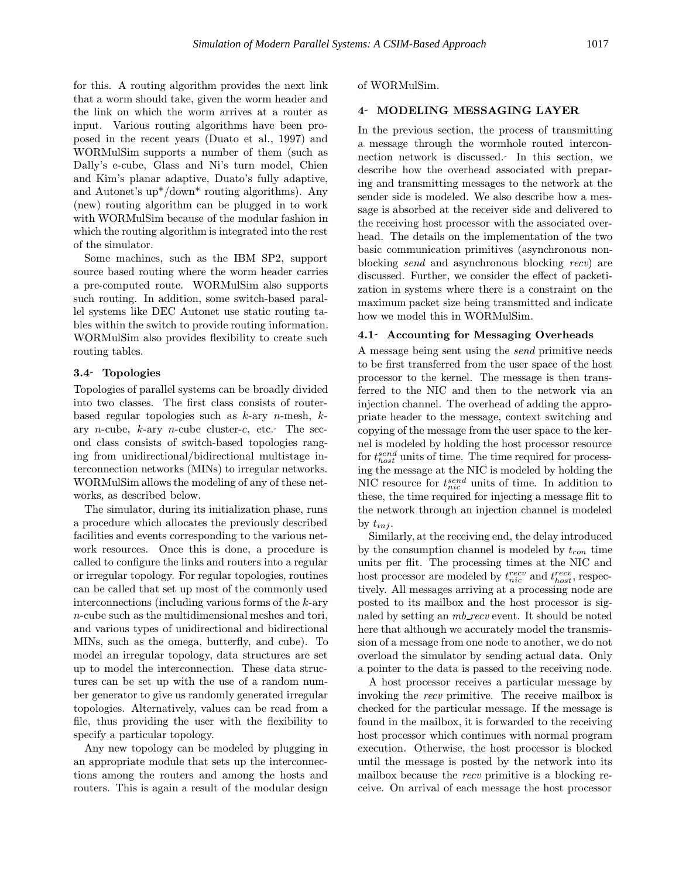for this. A routing algorithm provides the next link that a worm should take, given the worm header and the link on which the worm arrives at a router as input. Various routing algorithms have been proposed in the recent years (Duato et al., 1997) and WORMulSim supports a number of them (such as Dally's e-cube, Glass and Ni's turn model, Chien and Kim's planar adaptive, Duato's fully adaptive, and Autonet's up\*/down\* routing algorithms). Any (new) routing algorithm can be plugged in to work with WORMulSim because of the modular fashion in which the routing algorithm is integrated into the rest of the simulator.

Some machines, such as the IBM SP2, support source based routing where the worm header carries a pre-computed route. WORMulSim also supports such routing. In addition, some switch-based parallel systems like DEC Autonet use static routing tables within the switch to provide routing information. WORMulSim also provides flexibility to create such routing tables.

## 3.4 Topologies

Topologies of parallel systems can be broadly divided into two classes. The first class consists of routerbased regular topologies such as  $k$ -ary *n*-mesh,  $k$ ary *n*-cube, *k*-ary *n*-cube cluster-c, etc. The second class consists of switch-based topologies ranging from unidirectional/bidirectional multistage interconnection networks (MINs) to irregular networks. WORMulSim allows the modeling of any of these networks, as described below.

The simulator, during its initialization phase, runs a procedure which allocates the previously described facilities and events corresponding to the various network resources. Once this is done, a procedure is called to configure the links and routers into a regular or irregular topology. For regular topologies, routines can be called that set up most of the commonly used interconnections (including various forms of the k-ary n-cube such as the multidimensional meshes and tori, and various types of unidirectional and bidirectional MINs, such as the omega, butterfly, and cube). To model an irregular topology, data structures are set up to model the interconnection. These data structures can be set up with the use of a random number generator to give us randomly generated irregular topologies. Alternatively, values can be read from a file, thus providing the user with the flexibility to specify a particular topology.

Any new topology can be modeled by plugging in an appropriate module that sets up the interconnections among the routers and among the hosts and routers. This is again a result of the modular design

# of WORMulSim.

## 4 MODELING MESSAGING LAYER

In the previous section, the process of transmitting a message through the wormhole routed interconnection network is discussed. In this section, we describe how the overhead associated with preparing and transmitting messages to the network at the sender side is modeled. We also describe how a message is absorbed at the receiver side and delivered to the receiving host processor with the associated overhead. The details on the implementation of the two basic communication primitives (asynchronous nonblocking send and asynchronous blocking recv) are discussed. Further, we consider the effect of packetization in systems where there is a constraint on the maximum packet size being transmitted and indicate how we model this in WORMulSim.

# 4.1 Accounting for Messaging Overheads

A message being sent using the send primitive needs to be first transferred from the user space of the host processor to the kernel. The message is then transferred to the NIC and then to the network via an injection channel. The overhead of adding the appropriate header to the message, context switching and copying of the message from the user space to the kernel is modeled by holding the host processor resource for  $t_{host}^{send}$  units of time. The time required for processing the message at the NIC is modeled by holding the NIC resource for  $t_{nic}^{send}$  units of time. In addition to these, the time required for injecting a message flit to the network through an injection channel is modeled by  $t_{inj}$ .

Similarly, at the receiving end, the delay introduced by the consumption channel is modeled by  $t_{con}$  time units per flit. The processing times at the NIC and host processor are modeled by  $t_{nic}^{recv}$  and  $t_{host}^{recv}$ , respectively. All messages arriving at a processing node are posted to its mailbox and the host processor is signaled by setting an mb recv event. It should be noted here that although we accurately model the transmission of a message from one node to another, we do not overload the simulator by sending actual data. Only a pointer to the data is passed to the receiving node.

A host processor receives a particular message by invoking the recv primitive. The receive mailbox is checked for the particular message. If the message is found in the mailbox, it is forwarded to the receiving host processor which continues with normal program execution. Otherwise, the host processor is blocked until the message is posted by the network into its mailbox because the recv primitive is a blocking receive. On arrival of each message the host processor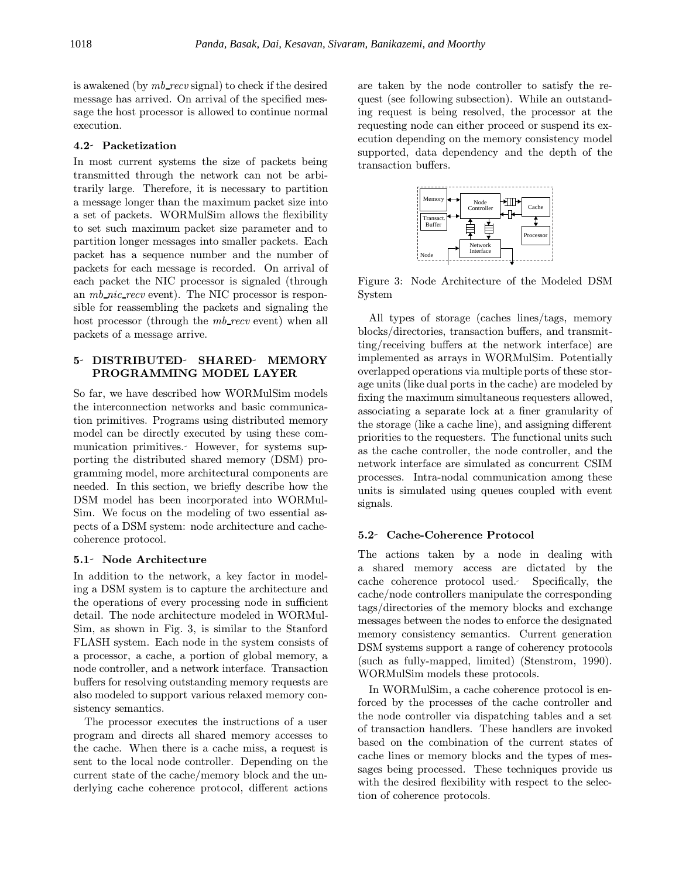is awakened (by mb recv signal) to check if the desired message has arrived. On arrival of the specified message the host processor is allowed to continue normal execution.

## 4.2 Packetization

In most current systems the size of packets being transmitted through the network can not be arbitrarily large. Therefore, it is necessary to partition a message longer than the maximum packet size into a set of packets. WORMulSim allows the flexibility to set such maximum packet size parameter and to partition longer messages into smaller packets. Each packet has a sequence number and the number of packets for each message is recorded. On arrival of each packet the NIC processor is signaled (through an  $mb\_nic\_recv$  event). The NIC processor is responsible for reassembling the packets and signaling the host processor (through the *mb\_recv* event) when all packets of a message arrive.

# 5- DISTRIBUTED- SHARED- MEMORY PROGRAMMING MODEL LAYER

So far, we have described how WORMulSim models the interconnection networks and basic communication primitives. Programs using distributed memory model can be directly executed by using these communication primitives. However, for systems supporting the distributed shared memory (DSM) programming model, more architectural components are needed. In this section, we briefly describe how the DSM model has been incorporated into WORMul-Sim. We focus on the modeling of two essential aspects of a DSM system: node architecture and cachecoherence protocol.

## 5.1 Node Architecture

In addition to the network, a key factor in modeling a DSM system is to capture the architecture and the operations of every processing node in sufficient detail. The node architecture modeled in WORMul-Sim, as shown in Fig. 3, is similar to the Stanford FLASH system. Each node in the system consists of a processor, a cache, a portion of global memory, a node controller, and a network interface. Transaction buffers for resolving outstanding memory requests are also modeled to support various relaxed memory consistency semantics.

The processor executes the instructions of a user program and directs all shared memory accesses to the cache. When there is a cache miss, a request is sent to the local node controller. Depending on the current state of the cache/memory block and the underlying cache coherence protocol, different actions are taken by the node controller to satisfy the request (see following subsection). While an outstanding request is being resolved, the processor at the requesting node can either proceed or suspend its execution depending on the memory consistency model supported, data dependency and the depth of the transaction buffers.



Figure 3: Node Architecture of the Modeled DSM System

All types of storage (caches lines/tags, memory blocks/directories, transaction buffers, and transmitting/receiving buffers at the network interface) are implemented as arrays in WORMulSim. Potentially overlapped operations via multiple ports of these storage units (like dual ports in the cache) are modeled by fixing the maximum simultaneous requesters allowed, associating a separate lock at a finer granularity of the storage (like a cache line), and assigning different priorities to the requesters. The functional units such as the cache controller, the node controller, and the network interface are simulated as concurrent CSIM processes. Intra-nodal communication among these units is simulated using queues coupled with event signals.

#### 5.2 Cache-Coherence Protocol

The actions taken by a node in dealing with a shared memory access are dictated by the cache coherence protocol used. Specifically, the cache/node controllers manipulate the corresponding tags/directories of the memory blocks and exchange messages between the nodes to enforce the designated memory consistency semantics. Current generation DSM systems support a range of coherency protocols (such as fully-mapped, limited) (Stenstrom, 1990). WORMulSim models these protocols.

In WORMulSim, a cache coherence protocol is enforced by the processes of the cache controller and the node controller via dispatching tables and a set of transaction handlers. These handlers are invoked based on the combination of the current states of cache lines or memory blocks and the types of messages being processed. These techniques provide us with the desired flexibility with respect to the selection of coherence protocols.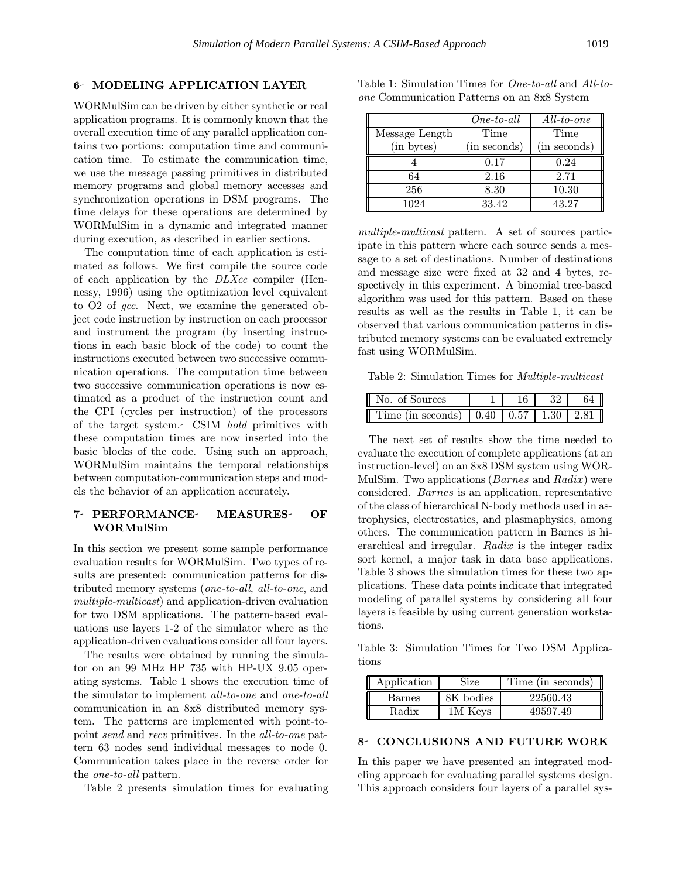# 6 MODELING APPLICATION LAYER

WORMulSim can be driven by either synthetic or real application programs. It is commonly known that the overall execution time of any parallel application contains two portions: computation time and communication time. To estimate the communication time, we use the message passing primitives in distributed memory programs and global memory accesses and synchronization operations in DSM programs. The time delays for these operations are determined by WORMulSim in a dynamic and integrated manner during execution, as described in earlier sections.

The computation time of each application is estimated as follows. We first compile the source code of each application by the DLXcc compiler (Hennessy, 1996) using the optimization level equivalent to O2 of gcc. Next, we examine the generated object code instruction by instruction on each processor and instrument the program (by inserting instructions in each basic block of the code) to count the instructions executed between two successive communication operations. The computation time between two successive communication operations is now estimated as a product of the instruction count and the CPI (cycles per instruction) of the processors of the target system. CSIM hold primitives with these computation times are now inserted into the basic blocks of the code. Using such an approach, WORMulSim maintains the temporal relationships between computation-communication steps and models the behavior of an application accurately.

# 7 PERFORMANCE MEASURES OF WORMulSim

In this section we present some sample performance evaluation results for WORMulSim. Two types of results are presented: communication patterns for distributed memory systems (one-to-all, all-to-one, and multiple-multicast) and application-driven evaluation for two DSM applications. The pattern-based evaluations use layers 1-2 of the simulator where as the application-driven evaluations consider all four layers.

The results were obtained by running the simulator on an 99 MHz HP 735 with HP-UX 9.05 operating systems. Table 1 shows the execution time of the simulator to implement all-to-one and one-to-all communication in an 8x8 distributed memory system. The patterns are implemented with point-topoint send and recv primitives. In the all-to-one pattern 63 nodes send individual messages to node 0. Communication takes place in the reverse order for the one-to-all pattern.

Table 2 presents simulation times for evaluating

Table 1: Simulation Times for One-to-all and All-toone Communication Patterns on an 8x8 System

|                | $One-to-all$ | $All-to-one$ |  |
|----------------|--------------|--------------|--|
| Message Length | Time         | Time         |  |
| (in bytes)     | (in seconds) | (in seconds) |  |
|                | 0.17         | 0.24         |  |
| 64             | 2.16         | 2.71         |  |
| 256            | 8.30         | 10.30        |  |
| 1024           | 33.42        | 43.27        |  |

multiple-multicast pattern. A set of sources participate in this pattern where each source sends a message to a set of destinations. Number of destinations and message size were fixed at 32 and 4 bytes, respectively in this experiment. A binomial tree-based algorithm was used for this pattern. Based on these results as well as the results in Table 1, it can be observed that various communication patterns in distributed memory systems can be evaluated extremely fast using WORMulSim.

Table 2: Simulation Times for Multiple-multicast

| No. of Sources                                |  | 64 |
|-----------------------------------------------|--|----|
| Time (in seconds)   0.40   0.57   1.30   2.81 |  |    |

The next set of results show the time needed to evaluate the execution of complete applications (at an instruction-level) on an 8x8 DSM system using WOR-MulSim. Two applications  $(Barnes$  and  $Radir)$  were considered. Barnes is an application, representative of the class of hierarchical N-body methods used in astrophysics, electrostatics, and plasmaphysics, among others. The communication pattern in Barnes is hierarchical and irregular. Radix is the integer radix sort kernel, a major task in data base applications. Table 3 shows the simulation times for these two applications. These data points indicate that integrated modeling of parallel systems by considering all four layers is feasible by using current generation workstations.

Table 3: Simulation Times for Two DSM Applications

| Application | Size      | Time (in seconds) |
|-------------|-----------|-------------------|
| Barnes      | 8K bodies | 22560.43          |
| Radix       | 1M Kevs   | 49597.49          |

#### 8- CONCLUSIONS AND FUTURE WORK

In this paper we have presented an integrated modeling approach for evaluating parallel systems design. This approach considers four layers of a parallel sys